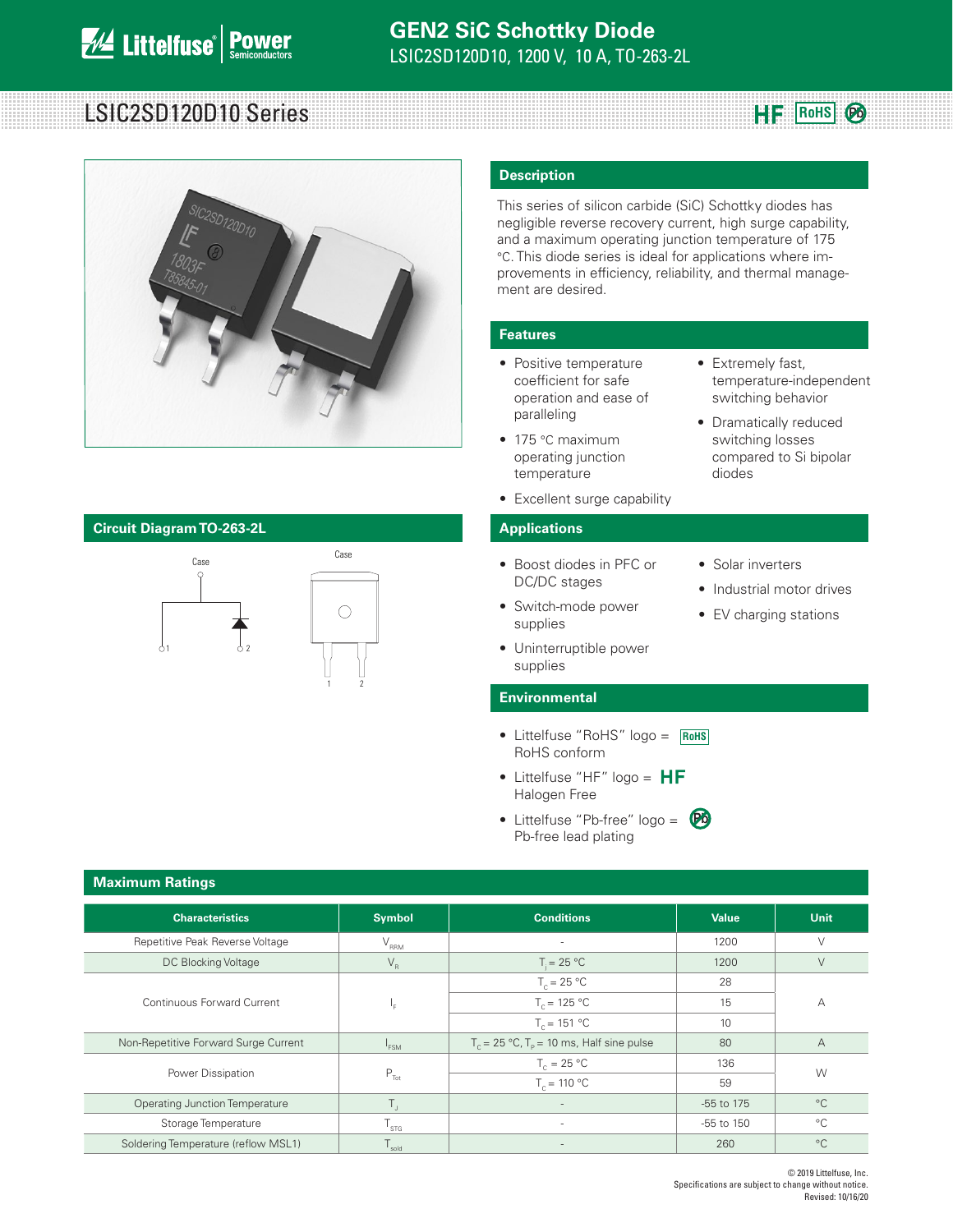# LSIC2SD120D10 Series **RoHS**



### **Circuit Diagram TO-263-2L Applications**



### **Description**

This series of silicon carbide (SiC) Schottky diodes has negligible reverse recovery current, high surge capability, and a maximum operating junction temperature of 175 °C. This diode series is ideal for applications where improvements in efficiency, reliability, and thermal management are desired.

• Extremely fast,

diodes

• Solar inverters

• Industrial motor drives • EV charging stations

temperature-independent switching behavior • Dramatically reduced switching losses compared to Si bipolar

**Pb** 

### **Features**

- Positive temperature coefficient for safe operation and ease of paralleling
- 175 °C maximum operating junction temperature
- Excellent surge capability

- Boost diodes in PFC or DC/DC stages
- Switch-mode power supplies
- Uninterruptible power supplies

### **Environmental**

- Littelfuse "RoHS" logo = **RoHS** RoHS conform
- Littelfuse "HF" logo =  $HF$ Halogen Free
- Littelfuse "Pb-free" logo = Pb-free lead plating **Pb**

| <b>Maximum Ratings</b>                |                  |                                                |                |                |  |  |
|---------------------------------------|------------------|------------------------------------------------|----------------|----------------|--|--|
| <b>Characteristics</b>                | <b>Symbol</b>    | <b>Conditions</b>                              | <b>Value</b>   | <b>Unit</b>    |  |  |
| Repetitive Peak Reverse Voltage       | $V_{\rm RRM}$    |                                                | 1200           | $\vee$         |  |  |
| DC Blocking Voltage                   | $V_R$            | $T = 25 °C$                                    | 1200           | $\vee$         |  |  |
|                                       |                  | $T_c = 25 °C$                                  | 28             |                |  |  |
| Continuous Forward Current            |                  | $T_c = 125 °C$                                 | 15             | А              |  |  |
|                                       | $T_c = 151 °C$   |                                                | 10             |                |  |  |
| Non-Repetitive Forward Surge Current  | <sup>1</sup> FSM | $T_c = 25 °C$ , $T_p = 10$ ms, Half sine pulse | 80             | $\overline{A}$ |  |  |
| Power Dissipation                     |                  | $T_c = 25 °C$                                  | 136            | W              |  |  |
|                                       | $P_{\text{Tot}}$ | $T_c = 110 °C$                                 | 59             |                |  |  |
| <b>Operating Junction Temperature</b> | Τ,               |                                                | -55 to 175     | $^{\circ}C$    |  |  |
| Storage Temperature                   | $T_{\rm STG}$    | ۰.                                             | $-55$ to $150$ | $^{\circ}C$    |  |  |
| Soldering Temperature (reflow MSL1)   | sold             |                                                | 260            | $^{\circ}$ C   |  |  |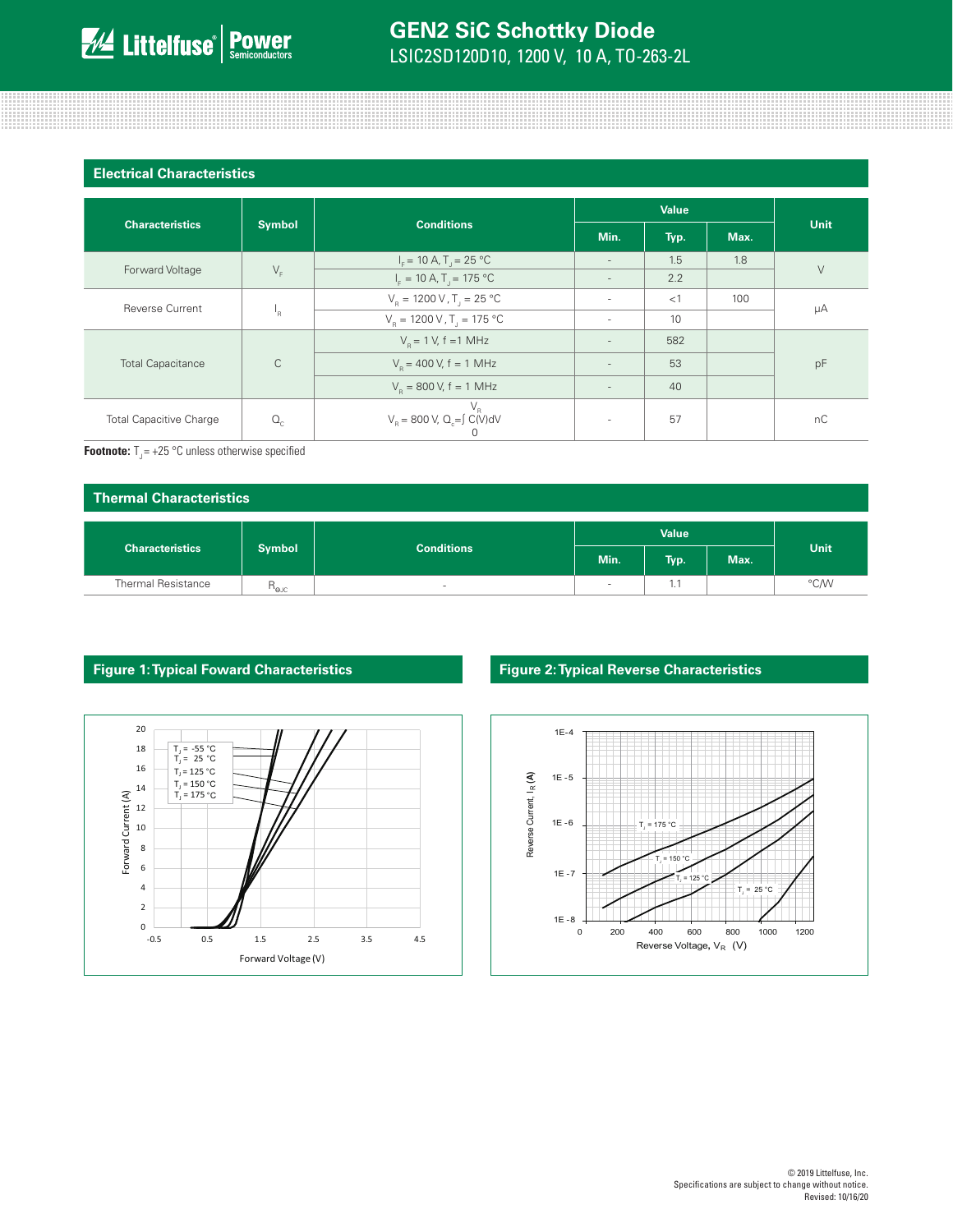| <b>Electrical Characteristics</b> |                         |                                                                       |                          |      |      |        |
|-----------------------------------|-------------------------|-----------------------------------------------------------------------|--------------------------|------|------|--------|
|                                   |                         |                                                                       | Value                    |      |      |        |
| <b>Characteristics</b>            | <b>Symbol</b>           | <b>Conditions</b>                                                     | Min.                     | Typ. | Max. | Unit   |
|                                   |                         | $I_c = 10 A$ , T <sub>1</sub> = 25 °C                                 | $\overline{\phantom{a}}$ | 1.5  | 1.8  | $\vee$ |
| Forward Voltage                   | $V_F$                   | $I_F = 10 A, T_J = 175 °C$                                            | $\overline{\phantom{a}}$ | 2.2  |      |        |
| <b>Reverse Current</b>            | $\mathsf{I}_\mathsf{R}$ | $V_p = 1200 \text{ V}$ , T <sub>1</sub> = 25 °C                       | $\overline{\phantom{a}}$ | <1   | 100  | μA     |
|                                   |                         | $V_p = 1200 \text{ V}$ , T <sub>1</sub> = 175 °C                      | ٠                        | 10   |      |        |
| <b>Total Capacitance</b>          | $\mathsf{C}$            | $V_p = 1 V$ , f = 1 MHz                                               | $\overline{\phantom{a}}$ | 582  |      | pF     |
|                                   |                         | $V_p = 400 V$ , f = 1 MHz                                             | $\overline{\phantom{a}}$ | 53   |      |        |
|                                   |                         | $V_p = 800 V$ , f = 1 MHz                                             | $\overline{\phantom{a}}$ | 40   |      |        |
| <b>Total Capacitive Charge</b>    | $Q_{\rm c}$             | $V_R$<br>V <sub>R</sub> = 800 V, Q <sub>c</sub> = SC(V)dV<br>$\Omega$ | ٠                        | 57   |      | nC     |

**Footnote:**  $T_{\text{J}} = +25 \text{ °C}$  unless otherwise specified

| <b>Thermal Characteristics</b> |                                  |                   |              |      |      |      |
|--------------------------------|----------------------------------|-------------------|--------------|------|------|------|
|                                |                                  | <b>Conditions</b> | <b>Value</b> |      |      |      |
| <b>Characteristics</b>         | <b>Symbol</b>                    |                   | Min.         | Typ. | Max. | Unit |
| <b>Thermal Resistance</b>      | $R_{\rm \scriptscriptstyle QJC}$ | $\sim$            |              | 1.1  |      | °C/W |





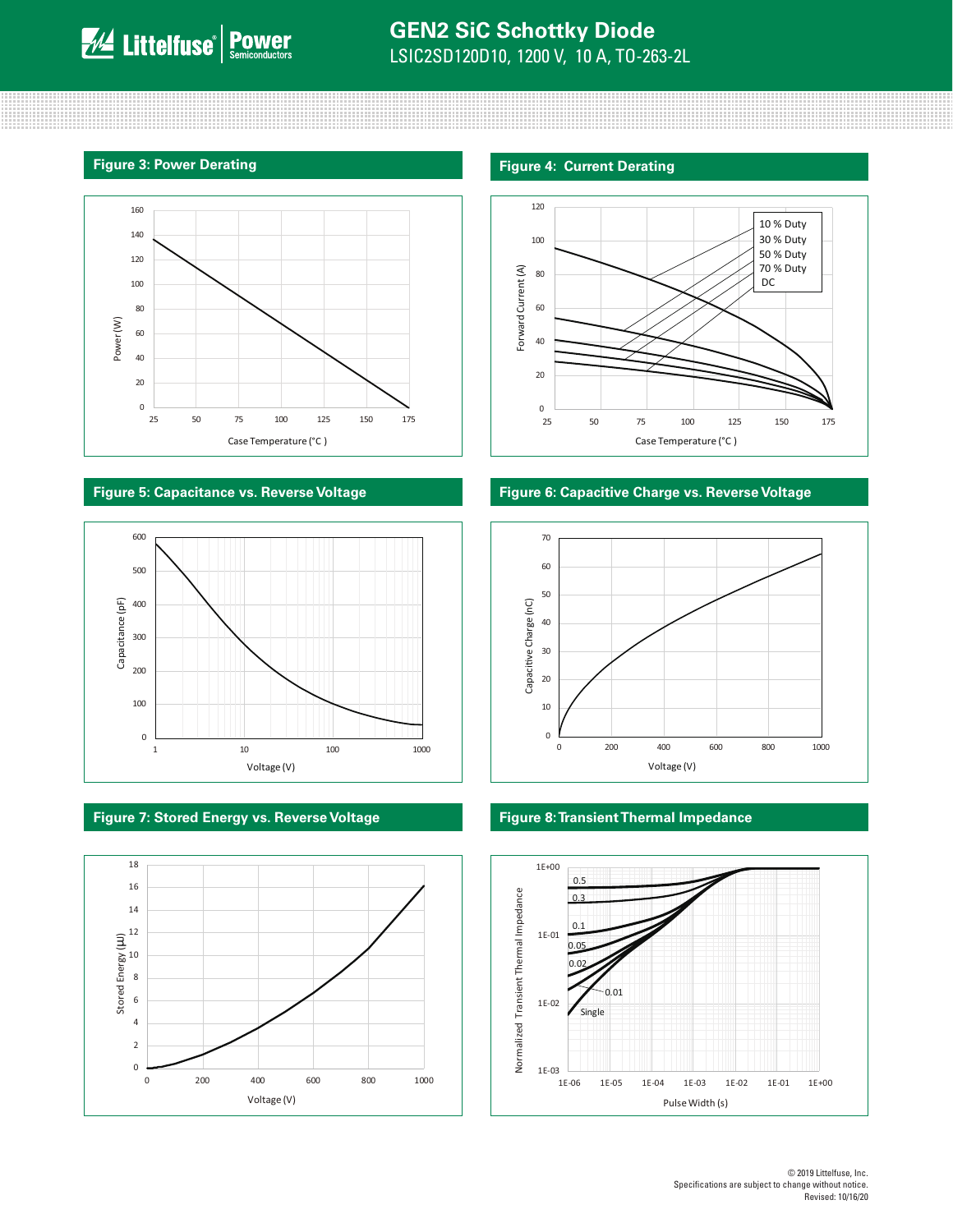



### **Figure 7: Stored Energy vs. Reverse Voltage Figure 8: Transient Thermal Impedance**



### **Figure 3: Power Derating Figure 4: Current Derating Figure 4: Current Derating**



### **Figure 5: Capacitance vs. Reverse Voltage Figure 6: Capacitive Charge vs. Reverse Voltage**



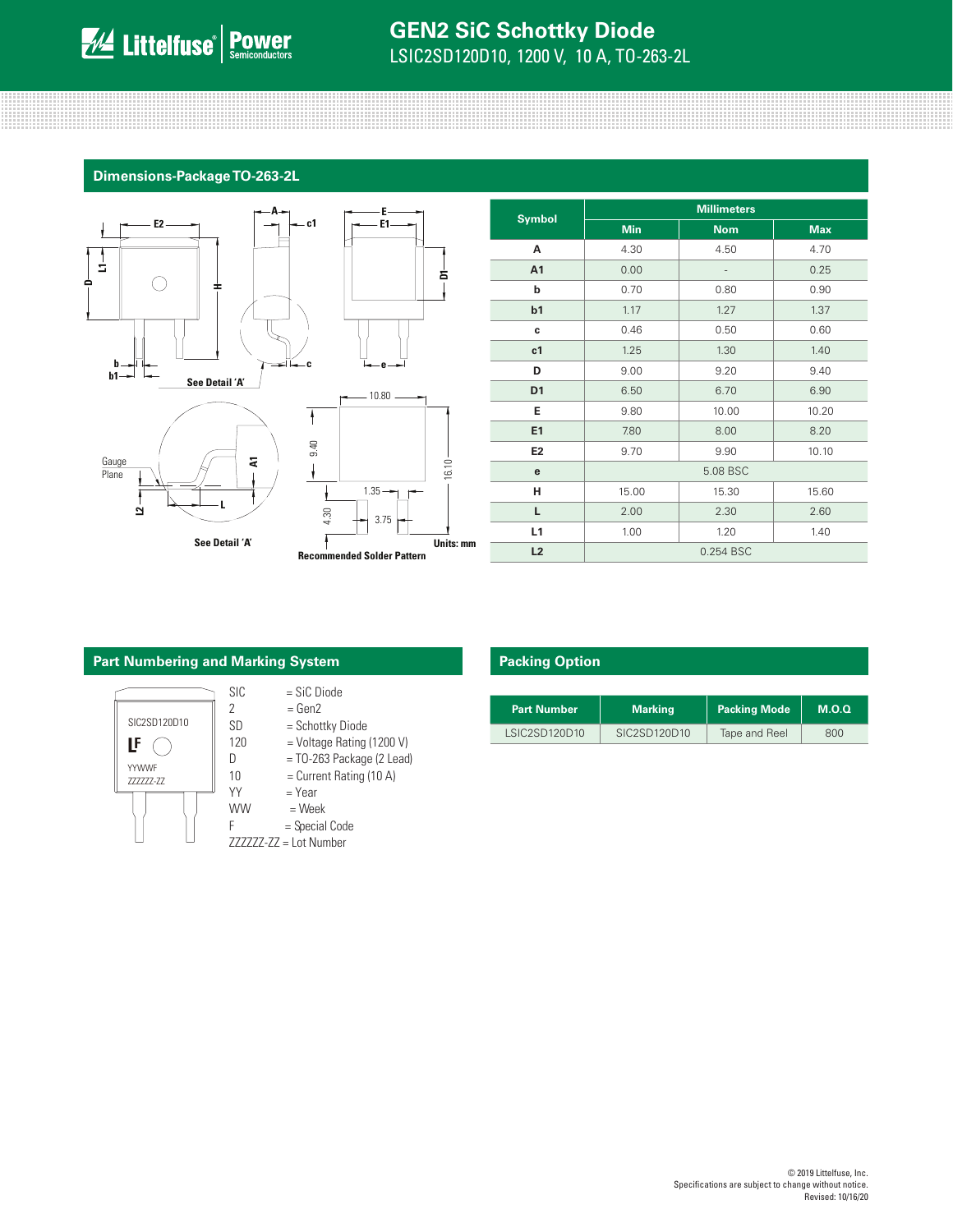**Dimensions-Package TO-263-2L**



| <b>Symbol</b>  | <b>Millimeters</b> |                              |            |  |
|----------------|--------------------|------------------------------|------------|--|
|                | <b>Min</b>         | <b>Nom</b>                   | <b>Max</b> |  |
| A              | 4.30               | 4.50                         | 4.70       |  |
| A1             | 0.00               | $\qquad \qquad \blacksquare$ | 0.25       |  |
| b              | 0.70               | 0.80                         | 0.90       |  |
| b1             | 1.17               | 1.27                         | 1.37       |  |
| c              | 0.46               | 0.50                         | 0.60       |  |
| c1             | 1.25               | 1.30                         | 1.40       |  |
| D              | 9.00               | 9.20                         | 9.40       |  |
| D <sub>1</sub> | 6.50               | 6.70                         | 6.90       |  |
| Е              | 9.80               | 10.00                        | 10.20      |  |
| E1             | 7.80               | 8.00                         | 8.20       |  |
| E <sub>2</sub> | 9.70               | 9.90                         | 10.10      |  |
| e              | 5.08 BSC           |                              |            |  |
| н              | 15.00              | 15.30                        | 15.60      |  |
| L              | 2.00               | 2.30                         | 2.60       |  |
| L1             | 1.00               | 1.20                         | 1.40       |  |
| L2             | 0.254 BSC          |                              |            |  |

### **Part Numbering and Marking System**



- $SIC = SIC Diode$
- $2 = Gen2$
- SD = Schottky Diode
- $D = TO-263$  Package (2 Lead)
- $10$  = Current Rating (10 A)
- $YY = Year$
- $WW = Week$
- $F = Special Code$
- ZZZZZZ-ZZ = Lot Number

### **Packing Option**

| <b>Part Number</b> | Marking      | <b>Packing Mode</b> | M.O.Q |
|--------------------|--------------|---------------------|-------|
| LSIC2SD120D10      | SIC2SD120D10 | Tape and Reel       | 800   |